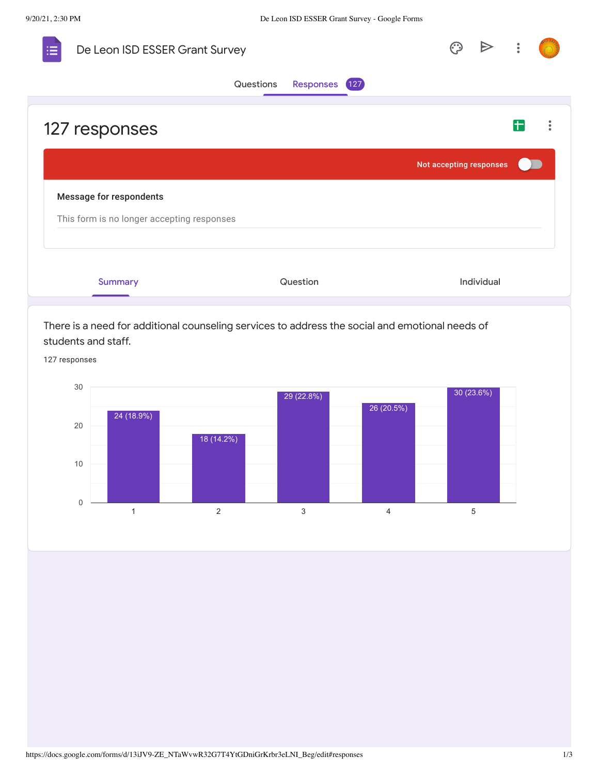0

10

| De Leon ISD ESSER Grant Survey                                                                                                          |                         |            |  |
|-----------------------------------------------------------------------------------------------------------------------------------------|-------------------------|------------|--|
| Questions<br>Responses 127                                                                                                              |                         |            |  |
| 127 responses                                                                                                                           |                         |            |  |
|                                                                                                                                         | Not accepting responses |            |  |
| <b>Message for respondents</b><br>This form is no longer accepting responses                                                            |                         |            |  |
| Question<br><b>Summary</b>                                                                                                              |                         | Individual |  |
| There is a need for additional counseling services to address the social and emotional needs of<br>students and staff.<br>127 responses |                         |            |  |
| 30<br>29 (22.8%)<br>26 (20.5%)<br>24 (18.9%)<br>20                                                                                      |                         | 30 (23.6%) |  |

1 2 3 4 5

18 (14.2%)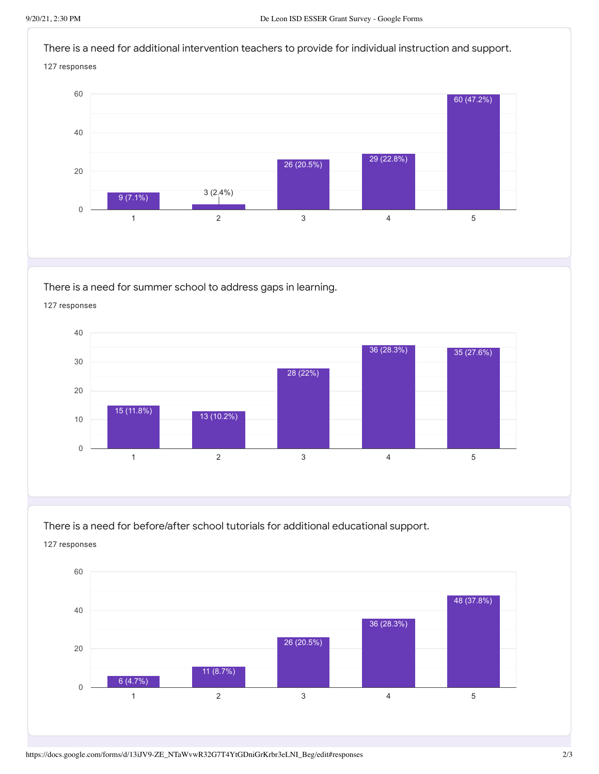

There is a need for summer school to address gaps in learning.

1 and  $2$  3 and  $4$  5 0 10 20 30 40 15 (11.8%) 13 (10.2%) 28 (22%) 36 (28.3%) 35 (27.6%)

127 responses

There is a need for before/after school tutorials for additional educational support. 127 responses